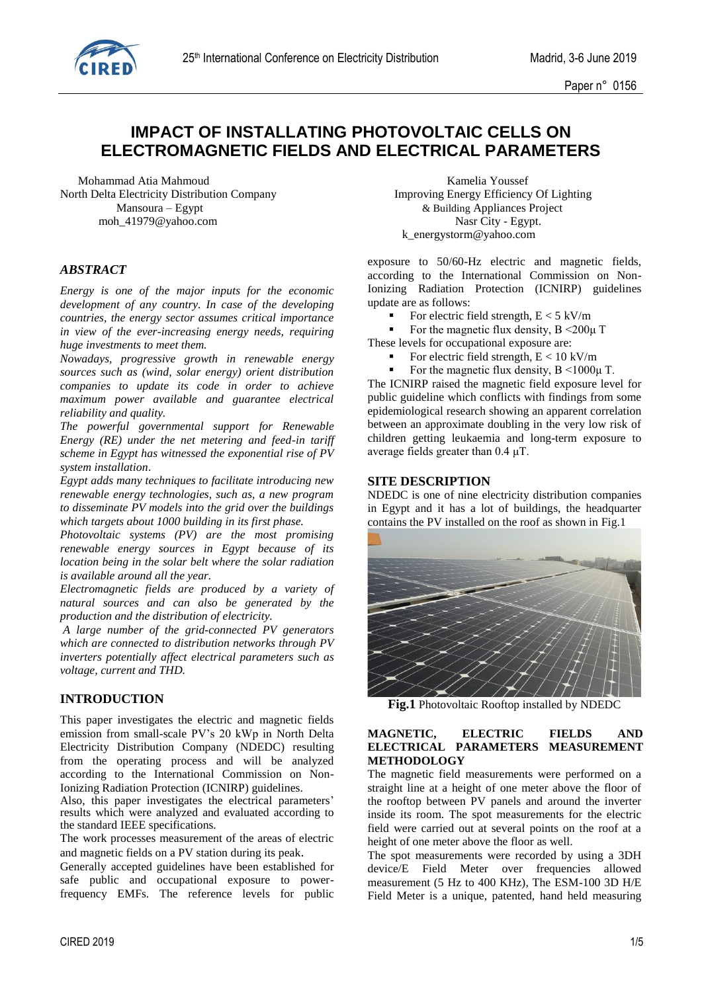Paper n° 0156

# **IMPACT OF INSTALLATING PHOTOVOLTAIC CELLS ON ELECTROMAGNETIC FIELDS AND ELECTRICAL PARAMETERS**

Mohammad Atia Mahmoud **Kamelia Youssef** Kamelia Youssef North Delta Electricity Distribution Company **Improving Energy Efficiency Of Lighting** moh 41979@yahoo.com Nasr City - Egypt.

## *ABSTRACT*

*Energy is one of the major inputs for the economic development of any country. In case of the developing countries, the energy sector assumes critical importance in view of the ever-increasing energy needs, requiring huge investments to meet them.* 

*Nowadays, progressive growth in renewable energy sources such as (wind, solar energy) orient distribution companies to update its code in order to achieve maximum power available and guarantee electrical reliability and quality.*

*The powerful governmental support for Renewable Energy (RE) under the net metering and feed-in tariff scheme in Egypt has witnessed the exponential rise of PV system installation*.

*Egypt adds many techniques to facilitate introducing new renewable energy technologies, such as, a new program to disseminate PV models into the grid over the buildings which targets about 1000 building in its first phase.*

*Photovoltaic systems (PV) are the most promising renewable energy sources in Egypt because of its location being in the solar belt where the solar radiation is available around all the year.*

*Electromagnetic fields are produced by a variety of natural sources and can also be generated by the production and the distribution of electricity.* 

*A large number of the grid-connected PV generators which are connected to distribution networks through PV inverters potentially affect electrical parameters such as voltage, current and THD.*

## **INTRODUCTION**

This paper investigates the electric and magnetic fields emission from small-scale PV's 20 kWp in North Delta Electricity Distribution Company (NDEDC) resulting from the operating process and will be analyzed according to the International Commission on Non-Ionizing Radiation Protection (ICNIRP) guidelines.

Also, this paper investigates the electrical parameters' results which were analyzed and evaluated according to the standard IEEE specifications.

The work processes measurement of the areas of electric and magnetic fields on a PV station during its peak.

Generally accepted guidelines have been established for safe public and occupational exposure to powerfrequency EMFs. The reference levels for public

 Mansoura – Egypt & Building Appliances Project k\_energystorm@yahoo.com

> exposure to 50/60-Hz electric and magnetic fields, according to the International Commission on Non-Ionizing Radiation Protection (ICNIRP) guidelines update are as follows:

- For electric field strength,  $E < 5$  kV/m
- For the magnetic flux density,  $B \le 200 \mu$  T

These levels for occupational exposure are:

- For electric field strength,  $E < 10$  kV/m
- For the magnetic flux density, B <1000μ T.

The ICNIRP raised the magnetic field exposure level for public guideline which conflicts with findings from some epidemiological research showing an apparent correlation between an approximate doubling in the very low risk of children getting leukaemia and long-term exposure to average fields greater than 0.4 μT.

#### **SITE DESCRIPTION**

NDEDC is one of nine electricity distribution companies in Egypt and it has a lot of buildings, the headquarter contains the PV installed on the roof as shown in Fig.1



**Fig.1** Photovoltaic Rooftop installed by NDEDC

#### **MAGNETIC, ELECTRIC FIELDS AND ELECTRICAL PARAMETERS MEASUREMENT METHODOLOGY**

The magnetic field measurements were performed on a straight line at a height of one meter above the floor of the rooftop between PV panels and around the inverter inside its room. The spot measurements for the electric field were carried out at several points on the roof at a height of one meter above the floor as well.

The spot measurements were recorded by using a 3DH device/E Field Meter over frequencies allowed measurement (5 Hz to 400 KHz), The ESM-100 3D H/E Field Meter is a unique, patented, hand held measuring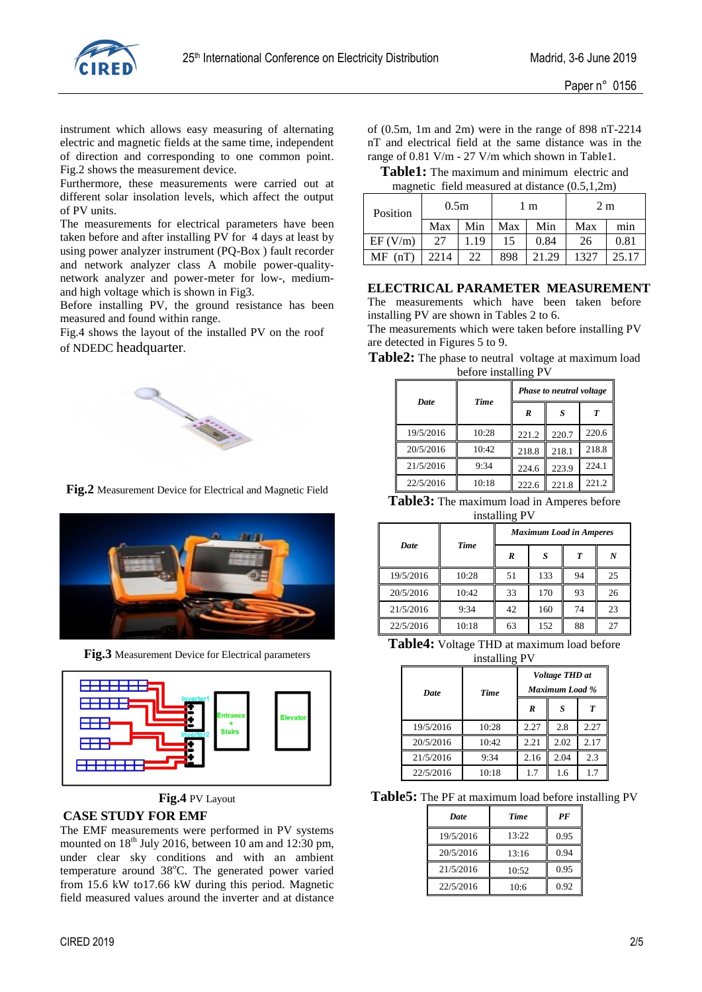

instrument which allows easy measuring of alternating electric and magnetic fields at the same time, independent of direction and corresponding to one common point. Fig.2 shows the measurement device.

Furthermore, these measurements were carried out at different solar insolation levels, which affect the output of PV units.

The measurements for electrical parameters have been taken before and after installing PV for 4 days at least by using power analyzer instrument (PQ-Box ) fault recorder and network analyzer class A mobile power-qualitynetwork analyzer and power-meter for low-, mediumand high voltage which is shown in Fig3.

Before installing PV, the ground resistance has been measured and found within range.

Fig.4 shows the layout of the installed PV on the roof of NDEDC headquarter.



**Fig.2** Measurement Device for Electrical and Magnetic Field



**Fig.3** Measurement Device for Electrical parameters



**Fig.4** PV Layout

#### **CASE STUDY FOR EMF**

The EMF measurements were performed in PV systems mounted on  $18<sup>th</sup>$  July 2016, between 10 am and 12:30 pm, under clear sky conditions and with an ambient temperature around 38°C. The generated power varied from 15.6 kW to17.66 kW during this period. Magnetic field measured values around the inverter and at distance

of (0.5m, 1m and 2m) were in the range of 898 nT-2214 nT and electrical field at the same distance was in the range of 0.81 V/m - 27 V/m which shown in Table1.

**Table1:** The maximum and minimum electric and magnetic field measured at distance  $(0.5,1,2m)$ 

| $1.910$ $1.10000$ $0.1000$ $0.0000$ $0.0000$ $0.0000$ $0.0000$ |                  |      |     |       |                |       |
|----------------------------------------------------------------|------------------|------|-----|-------|----------------|-------|
| Position                                                       | 0.5 <sub>m</sub> |      | l m |       | 2 <sub>m</sub> |       |
|                                                                | Max              | Min  | Max | Min   | Max            | min   |
| EF (V/m)                                                       | 27               | 1.19 | 15  | 0.84  | 26             | 0.81  |
| MF<br>(nT)                                                     | 2214             | 22   | 898 | 21.29 | 1327           | 25.17 |

# **ELECTRICAL PARAMETER MEASUREMENT**

The measurements which have been taken before installing PV are shown in Tables 2 to 6.

The measurements which were taken before installing PV are detected in Figures 5 to 9.

| Table2: The phase to neutral voltage at maximum load |  |  |
|------------------------------------------------------|--|--|
| before installing PV                                 |  |  |

|             |             |       | Phase to neutral voltage |       |
|-------------|-------------|-------|--------------------------|-------|
| <b>Date</b> | <b>Time</b> | R     | S                        | T     |
| 19/5/2016   | 10:28       | 221.2 | 220.7                    | 220.6 |
| 20/5/2016   | 10:42       | 218.8 | 218.1                    | 218.8 |
| 21/5/2016   | 9:34        | 224.6 | 223.9                    | 224.1 |
| 22/5/2016   | 10:18       | 222.6 | 221.8                    | 221.2 |

| Table3: The maximum load in Amperes before |
|--------------------------------------------|
| installing PV                              |

|             |             | <b>Maximum Load in Amperes</b> |     |    |    |  |
|-------------|-------------|--------------------------------|-----|----|----|--|
| <b>Date</b> | <b>Time</b> | R                              |     | T  | N  |  |
| 19/5/2016   | 10:28       | 51                             | 133 | 94 | 25 |  |
| 20/5/2016   | 10:42       | 33                             | 170 | 93 | 26 |  |
| 21/5/2016   | 9:34        | 42                             | 160 | 74 | 23 |  |
| 22/5/2016   | 10:18       | 63                             | 152 | 88 | 27 |  |

**Table4:** Voltage THD at maximum load before installing PV

| Date      | <b>Time</b> | Voltage THD at<br><b>Maximum Load %</b> |      |      |  |
|-----------|-------------|-----------------------------------------|------|------|--|
|           |             | R                                       | S    | T    |  |
| 19/5/2016 | 10:28       | 2.27                                    | 2.8  | 2.27 |  |
| 20/5/2016 | 10:42       | 2.21                                    | 2.02 | 2.17 |  |
| 21/5/2016 | 9:34        | 2.16                                    | 2.04 | 2.3  |  |
| 22/5/2016 | 10:18       |                                         |      |      |  |

**Table5:** The PF at maximum load before installing PV

| <b>Date</b> | <b>Time</b> | PF   |
|-------------|-------------|------|
| 19/5/2016   | 13:22       | 0.95 |
| 20/5/2016   | 13:16       | 0.94 |
| 21/5/2016   | 10:52       | 0.95 |
| 22/5/2016   | 10:6        | 0.92 |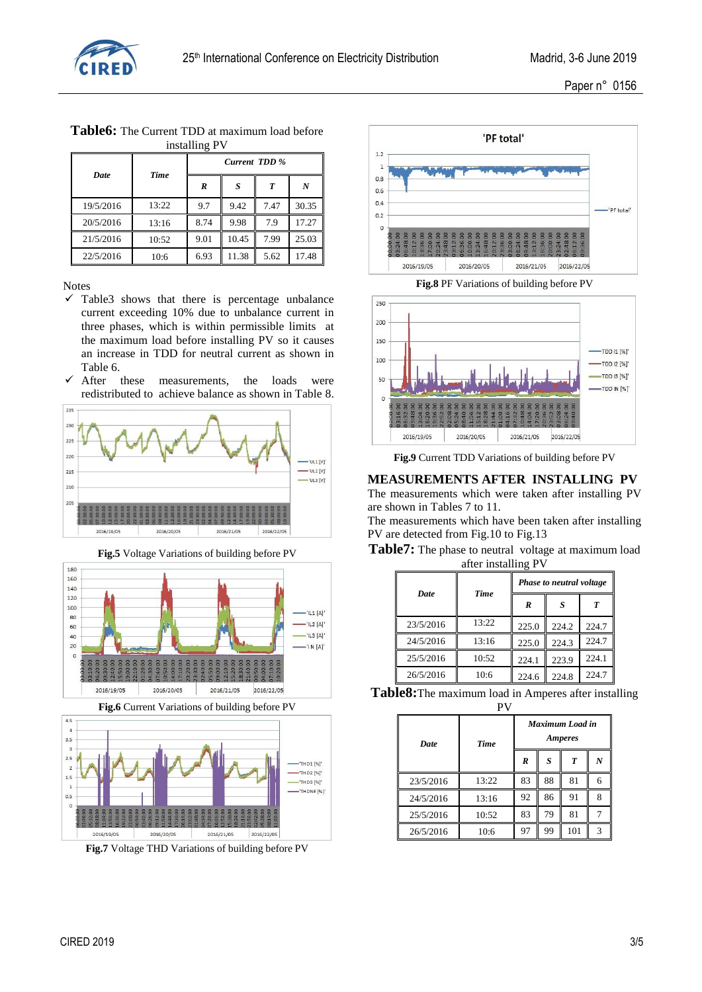

|             |             | Current TDD % |       |      |       |  |
|-------------|-------------|---------------|-------|------|-------|--|
| <b>Date</b> | <b>Time</b> | R<br>S        |       | T    | N     |  |
| 19/5/2016   | 13:22       | 9.7           | 9.42  | 7.47 | 30.35 |  |
| 20/5/2016   | 13:16       | 8.74          | 9.98  | 7.9  | 17.27 |  |
| 21/5/2016   | 10:52       | 9.01          | 10.45 | 7.99 | 25.03 |  |
| 22/5/2016   | 10:6        | 6.93          | 11.38 | 5.62 | 17.48 |  |

**Table6:** The Current TDD at maximum load before installing PV

#### Notes

- $\checkmark$  Table3 shows that there is percentage unbalance current exceeding 10% due to unbalance current in three phases, which is within permissible limits at the maximum load before installing PV so it causes an increase in TDD for neutral current as shown in Table 6.
- $\checkmark$  After these measurements, the loads were redistributed to achieve balance as shown in Table 8.



**Fig.5** Voltage Variations of building before PV



**Fig.6** Current Variations of building before PV



**Fig.7** Voltage THD Variations of building before PV



**Fig.8** PF Variations of building before PV



**Fig.9** Current TDD Variations of building before PV

#### **MEASUREMENTS AFTER INSTALLING PV**

The measurements which were taken after installing PV are shown in Tables 7 to 11.

The measurements which have been taken after installing PV are detected from Fig.10 to Fig.13

**Table7:** The phase to neutral voltage at maximum load after installing PV

| ∘           |             |                          |       |       |
|-------------|-------------|--------------------------|-------|-------|
|             |             | Phase to neutral voltage |       |       |
| <b>Date</b> | <b>Time</b> | R                        |       | Т     |
| 23/5/2016   | 13:22       | 225.0                    | 224.2 | 224.7 |
| 24/5/2016   | 13:16       | 225.0                    | 224.3 | 224.7 |
| 25/5/2016   | 10:52       | 224.1                    | 223.9 | 224.1 |
| 26/5/2016   | 10:6        | 224.6                    | 224.8 | 224.7 |

| Table8: The maximum load in Amperes after installing |
|------------------------------------------------------|
| PV                                                   |

| <b>Date</b> | <b>Time</b> | Maximum Load in<br><b>Amperes</b> |    |     |   |
|-------------|-------------|-----------------------------------|----|-----|---|
|             |             | $\boldsymbol{R}$                  | S  | T   | N |
| 23/5/2016   | 13:22       | 83                                | 88 | 81  | 6 |
| 24/5/2016   | 13:16       | 92                                | 86 | 91  | 8 |
| 25/5/2016   | 10:52       | 83                                | 79 | 81  |   |
| 26/5/2016   | 10:6        | 97                                | 99 | 101 | 3 |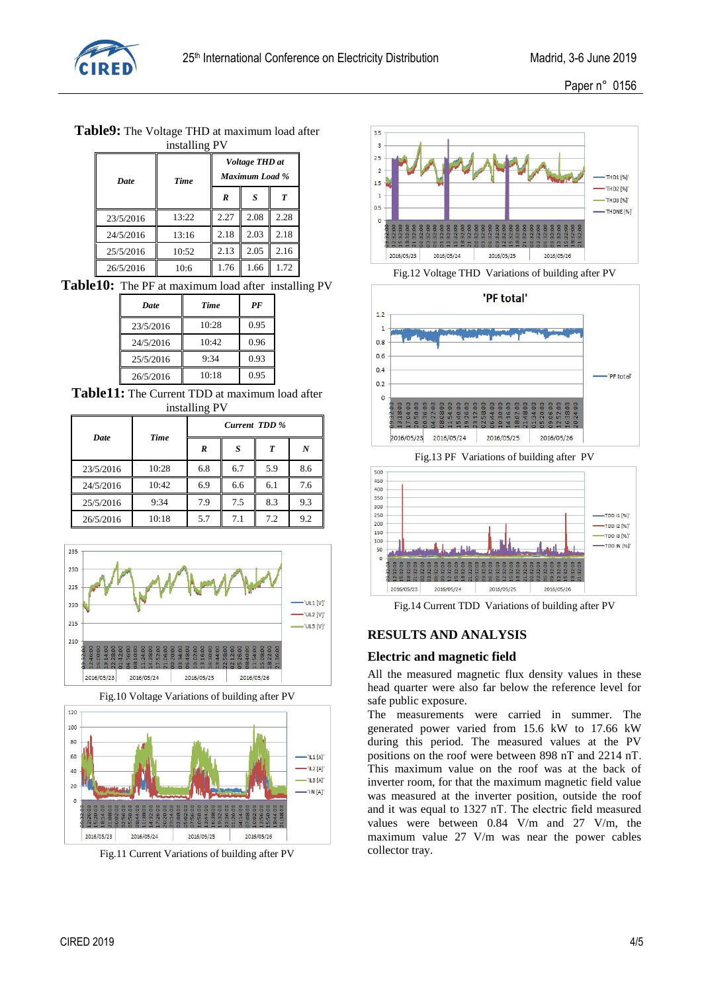

**Table9:** The Voltage THD at maximum load after installing PV

| Date      | <b>Time</b> | Voltage THD at<br>Maximum Load % |      |      |  |
|-----------|-------------|----------------------------------|------|------|--|
|           |             | R                                | S    | T    |  |
| 23/5/2016 | 13:22       | 2.27                             | 2.08 | 2.28 |  |
| 24/5/2016 | 13:16       | 2.18                             | 2.03 | 2.18 |  |
| 25/5/2016 | 10:52       | 2.13                             | 2.05 | 2.16 |  |
| 26/5/2016 | 10:6        | 1.76                             | 1.66 | 1.72 |  |

**Table10:** The PF at maximum load after installing PV

| <b>Date</b> | <b>Time</b> | PF   |  |
|-------------|-------------|------|--|
| 23/5/2016   | 10:28       | 0.95 |  |
| 24/5/2016   | 10:42       | 0.96 |  |
| 25/5/2016   | 9:34        | 0.93 |  |
| 26/5/2016   | 10:18       | 0.95 |  |

**Table11:** The Current TDD at maximum load after installing PV

| <b>Date</b> | Time  | Current TDD % |     |     |     |
|-------------|-------|---------------|-----|-----|-----|
|             |       | R             | S   | T   | N   |
| 23/5/2016   | 10:28 | 6.8           | 6.7 | 5.9 | 8.6 |
| 24/5/2016   | 10:42 | 6.9           | 6.6 | 6.1 | 7.6 |
| 25/5/2016   | 9:34  | 7.9           | 7.5 | 8.3 | 9.3 |
| 26/5/2016   | 10:18 | 5.7           | 7.1 | 7.2 | 9.2 |



Fig.10 Voltage Variations of building after PV



Fig.11 Current Variations of building after PV



Fig.12 Voltage THD Variations of building after PV



Fig.13 PF Variations of building after PV



Fig.14 Current TDD Variations of building after PV

# **RESULTS AND ANALYSIS**

# **Electric and magnetic field**

All the measured magnetic flux density values in these head quarter were also far below the reference level for safe public exposure.

The measurements were carried in summer. The generated power varied from 15.6 kW to 17.66 kW during this period. The measured values at the PV positions on the roof were between 898 nΤ and 2214 nΤ. This maximum value on the roof was at the back of inverter room, for that the maximum magnetic field value was measured at the inverter position, outside the roof and it was equal to 1327 nΤ. The electric field measured values were between 0.84 V/m and 27 V/m, the maximum value 27 V/m was near the power cables collector tray.